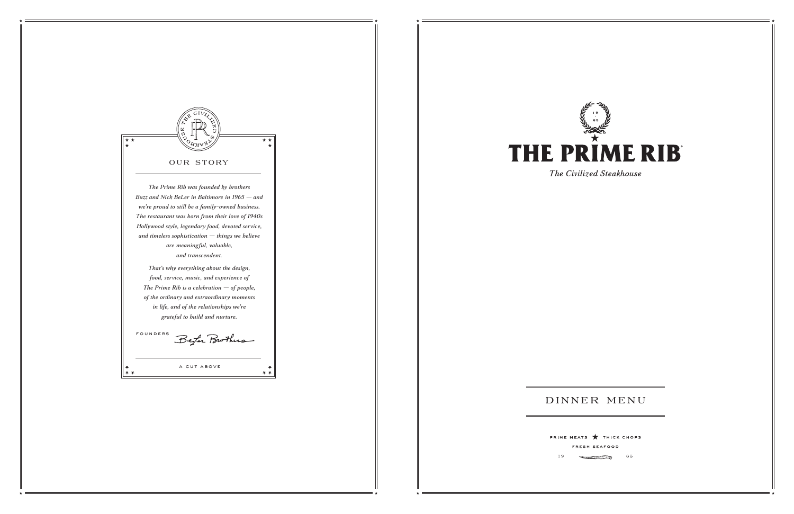

19



The Civilized Steakhouse

# DINNER MENU

PRIME MEATS THICK CHOPS FRESH SEAFOOD

> **Contraction of the Second Second** 65